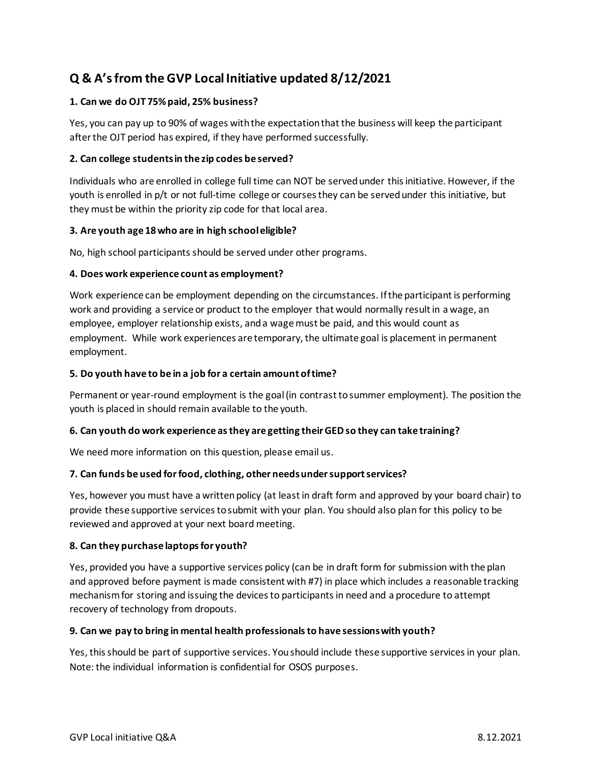# **Q & A's from the GVP Local Initiative updated 8/12/2021**

# **1. Can we do OJT 75% paid, 25% business?**

Yes, you can pay up to 90% of wages with the expectation that the business will keep the participant after the OJT period has expired, if they have performed successfully.

### **2. Can college students in the zip codes be served?**

Individuals who are enrolled in college full time can NOT be served under this initiative. However, if the youth is enrolled in p/t or not full-time college or courses they can be served under this initiative, but they must be within the priority zip code for that local area.

### **3. Are youth age 18 who are in high school eligible?**

No, high school participants should be served under other programs.

### **4. Does work experience count as employment?**

Work experience can be employment depending on the circumstances. If the participant is performing work and providing a service or product to the employer that would normally result in a wage, an employee, employer relationship exists, and a wage must be paid, and this would count as employment. While work experiences are temporary, the ultimate goal is placement in permanent employment.

### **5. Do youth have to be in a job for a certain amount of time?**

Permanent or year-round employment is the goal (in contrast to summer employment). The position the youth is placed in should remain available to the youth.

#### **6. Can youth do work experience as they are getting their GED so they can take training?**

We need more information on this question, please email us.

#### **7. Can funds be used for food, clothing, other needs under support services?**

Yes, however you must have a written policy (at least in draft form and approved by your board chair) to provide these supportive services to submit with your plan. You should also plan for this policy to be reviewed and approved at your next board meeting.

#### **8. Can they purchase laptops for youth?**

Yes, provided you have a supportive services policy (can be in draft form for submission with the plan and approved before payment is made consistent with #7) in place which includes a reasonable tracking mechanism for storing and issuing the devices to participants in need and a procedure to attempt recovery of technology from dropouts.

# **9. Can we pay to bring in mental health professionals to have sessions with youth?**

Yes, this should be part of supportive services. You should include these supportive services in your plan. Note: the individual information is confidential for OSOS purposes.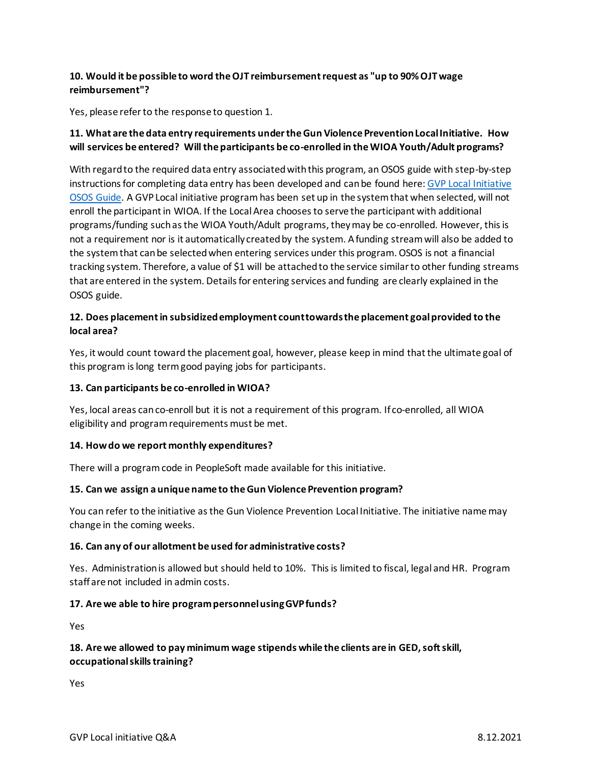# **10. Would it be possible to word the OJT reimbursement request as "up to 90% OJT wage reimbursement"?**

Yes, please refer to the response to question 1.

# **11. What are the data entry requirements under the Gun Violence Prevention Local Initiative. How will services be entered? Will the participants be co-enrolled in the WIOA Youth/Adult programs?**

With regard to the required data entry associated with this program, an OSOS guide with step-by-step instructions for completing data entry has been developed and can be found here[: GVP Local Initiative](http://www.dol.ny.gov/gun-violence-prevention-gvp-local-initiative-osos-guide)  [OSOS Guide.](http://www.dol.ny.gov/gun-violence-prevention-gvp-local-initiative-osos-guide) A GVP Local initiative program has been set up in the system that when selected, will not enroll the participant in WIOA. If the Local Area chooses to serve the participant with additional programs/funding such as the WIOA Youth/Adult programs, they may be co-enrolled. However, this is not a requirement nor is it automatically created by the system. A funding stream will also be added to the system that can be selected when entering services under this program. OSOS is not a financial tracking system. Therefore, a value of \$1 will be attached to the service similar to other funding streams that are entered in the system. Details for entering services and funding are clearly explained in the OSOS guide.

# **12. Does placement in subsidized employment count towards the placement goal provided to the local area?**

Yes, it would count toward the placement goal, however, please keep in mind that the ultimate goal of this program is long term good paying jobs for participants.

# **13. Can participants be co-enrolled in WIOA?**

Yes, local areas can co-enroll but it is not a requirement of this program. If co-enrolled, all WIOA eligibility and program requirements must be met.

#### **14. How do we report monthly expenditures?**

There will a program code in PeopleSoft made available for this initiative.

#### **15. Can we assign a unique name to the Gun Violence Prevention program?**

You can refer to the initiative as the Gun Violence Prevention Local Initiative. The initiative name may change in the coming weeks.

#### **16. Can any of our allotment be used for administrative costs?**

Yes. Administration is allowed but should held to 10%. This is limited to fiscal, legal and HR. Program staff are not included in admin costs.

#### **17. Are we able to hire program personnel using GVP funds?**

Yes

# **18. Are we allowed to pay minimum wage stipends while the clients are in GED, soft skill, occupational skills training?**

Yes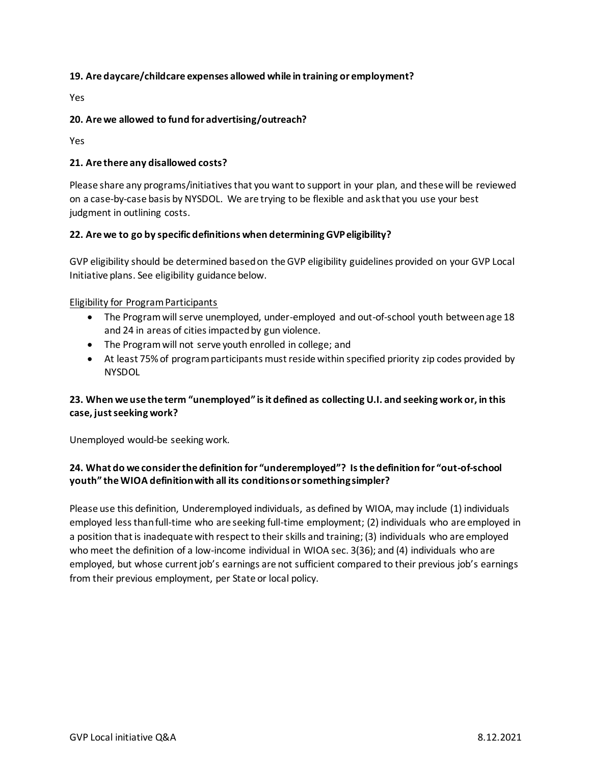### **19. Are daycare/childcare expenses allowed while in training or employment?**

Yes

### **20. Are we allowed to fund for advertising/outreach?**

Yes

#### **21. Are there any disallowed costs?**

Please share any programs/initiatives that you want to support in your plan, and these will be reviewed on a case-by-case basis by NYSDOL. We are trying to be flexible and ask that you use your best judgment in outlining costs.

### **22. Are we to go by specific definitions when determining GVP eligibility?**

GVP eligibility should be determined based on the GVP eligibility guidelines provided on your GVP Local Initiative plans. See eligibility guidance below.

#### Eligibility for Program Participants

- The Program will serve unemployed, under-employed and out-of-school youth between age 18 and 24 in areas of cities impacted by gun violence.
- The Program will not serve youth enrolled in college; and
- At least 75% of program participants must reside within specified priority zip codes provided by **NYSDOL**

### **23. When we use the term "unemployed" is it defined as collecting U.I. and seeking work or, in this case, just seeking work?**

Unemployed would-be seeking work.

# **24. What do we consider the definition for "underemployed"? Is the definition for "out-of-school youth" the WIOA definition with all its conditions or something simpler?**

Please use this definition, Underemployed individuals, as defined by WIOA, may include (1) individuals employed less than full-time who are seeking full-time employment; (2) individuals who are employed in a position that is inadequate with respect to their skills and training; (3) individuals who are employed who meet the definition of a low-income individual in WIOA sec. 3(36); and (4) individuals who are employed, but whose current job's earnings are not sufficient compared to their previous job's earnings from their previous employment, per State or local policy.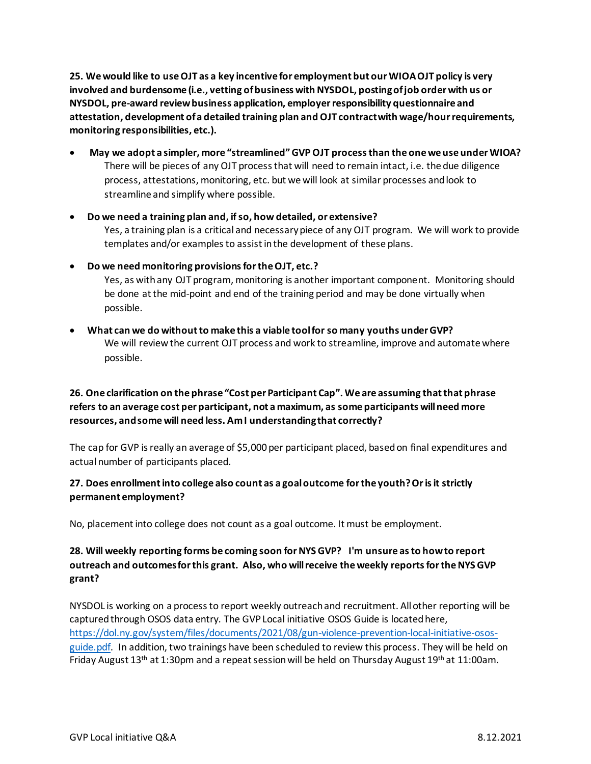**25. We would like to use OJT as a key incentive for employment but our WIOA OJT policy is very involved and burdensome (i.e., vetting of business with NYSDOL, posting of job order with us or NYSDOL, pre-award review business application, employer responsibility questionnaire and attestation, development of a detailed training plan and OJT contract with wage/hour requirements, monitoring responsibilities, etc.).**

- **May we adopt a simpler, more "streamlined" GVP OJT process than the one we use under WIOA?** There will be pieces of any OJT process that will need to remain intact, i.e. the due diligence process, attestations, monitoring, etc. but we will look at similar processes and look to streamline and simplify where possible.
- **Do we need a training plan and, if so, how detailed, or extensive?** Yes, a training plan is a critical and necessary piece of any OJT program. We will work to provide templates and/or examples to assist in the development of these plans.
- **Do we need monitoring provisions for the OJT, etc.?** Yes, as with any OJT program, monitoring is another important component. Monitoring should be done at the mid-point and end of the training period and may be done virtually when possible.
- **What can we do without to make this a viable tool for so many youths under GVP?** We will review the current OJT process and work to streamline, improve and automate where possible.

# **26. One clarification on the phrase "Cost per Participant Cap". We are assuming that that phrase refers to an average cost per participant, not a maximum, as some participants will need more resources, and some will need less. Am I understanding that correctly?**

The cap for GVP is really an average of \$5,000 per participant placed, based on final expenditures and actual number of participants placed.

# **27. Does enrollment into college also count as a goal outcome for the youth? Or is it strictly permanent employment?**

No, placement into college does not count as a goal outcome. It must be employment.

# **28. Will weekly reporting forms be coming soon for NYS GVP? I'm unsure as to how to report outreach and outcomes for this grant. Also, who will receive the weekly reports for the NYS GVP grant?**

NYSDOL is working on a process to report weekly outreach and recruitment. All other reporting will be captured through OSOS data entry. The GVP Local initiative OSOS Guide is located here, [https://dol.ny.gov/system/files/documents/2021/08/gun-violence-prevention-local-initiative-osos](https://dol.ny.gov/system/files/documents/2021/08/gun-violence-prevention-local-initiative-osos-guide.pdf)[guide.pdf.](https://dol.ny.gov/system/files/documents/2021/08/gun-violence-prevention-local-initiative-osos-guide.pdf) In addition, two trainings have been scheduled to review this process. They will be held on Friday August 13<sup>th</sup> at 1:30pm and a repeat session will be held on Thursday August 19<sup>th</sup> at 11:00am.